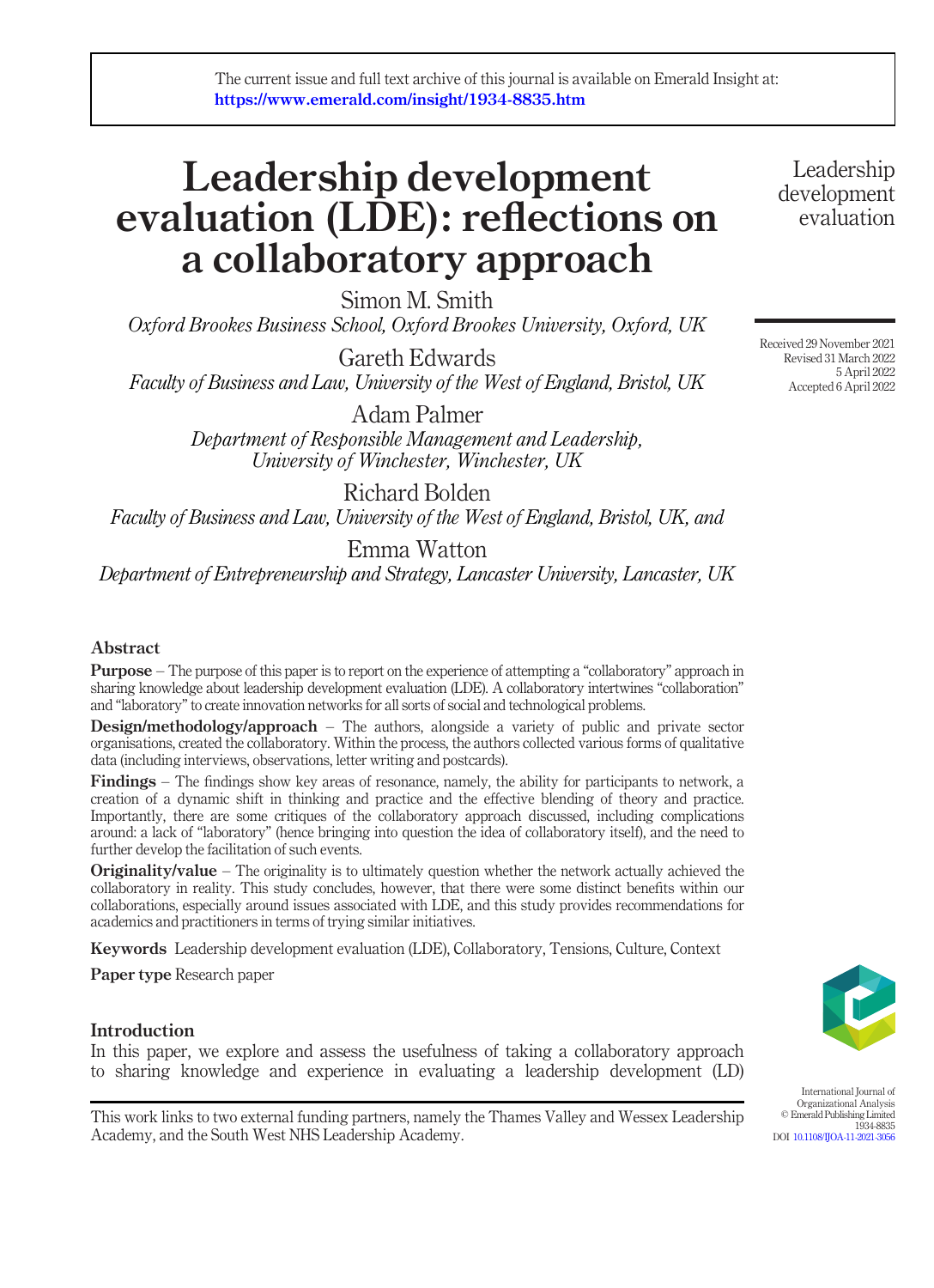# Leadership development evaluation (LDE): reflections on a collaboratory approach

Simon M. Smith

Oxford Brookes Business School, Oxford Brookes University, Oxford, UK

Gareth Edwards Faculty of Business and Law, University of the West of England, Bristol, UK

> Adam Palmer Department of Responsible Management and Leadership, University of Winchester, Winchester, UK

Richard Bolden Faculty of Business and Law, University of the West of England, Bristol, UK, and

Emma Watton

Department of Entrepreneurship and Strategy, Lancaster University, Lancaster, UK

# Abstract

Purpose – The purpose of this paper is to report on the experience of attempting a "collaboratory" approach in sharing knowledge about leadership development evaluation (LDE). A collaboratory intertwines "collaboration" and "laboratory"to create innovation networks for all sorts of social and technological problems.

Design/methodology/approach – The authors, alongside a variety of public and private sector organisations, created the collaboratory. Within the process, the authors collected various forms of qualitative data (including interviews, observations, letter writing and postcards).

Findings – The findings show key areas of resonance, namely, the ability for participants to network, a creation of a dynamic shift in thinking and practice and the effective blending of theory and practice. Importantly, there are some critiques of the collaboratory approach discussed, including complications around: a lack of "laboratory" (hence bringing into question the idea of collaboratory itself), and the need to further develop the facilitation of such events.

**Originality/value** – The originality is to ultimately question whether the network actually achieved the collaboratory in reality. This study concludes, however, that there were some distinct benefits within our collaborations, especially around issues associated with LDE, and this study provides recommendations for academics and practitioners in terms of trying similar initiatives.

Keywords Leadership development evaluation (LDE), Collaboratory, Tensions, Culture, Context

Paper type Research paper

# **Introduction**

In this paper, we explore and assess the usefulness of taking a collaboratory approach to sharing knowledge and experience in evaluating a leadership development (LD)

This work links to two external funding partners, namely the Thames Valley and Wessex Leadership Academy, and the South West NHS Leadership Academy.

International Journal of Organizational Analysis © Emerald Publishing Limited 1934-8835 DOI [10.1108/IJOA-11-2021-3056](http://dx.doi.org/10.1108/IJOA-11-2021-3056)

Received 29 November 2021 Revised 31 March 2022

Leadership development evaluation

5 April 2022 Accepted 6 April 2022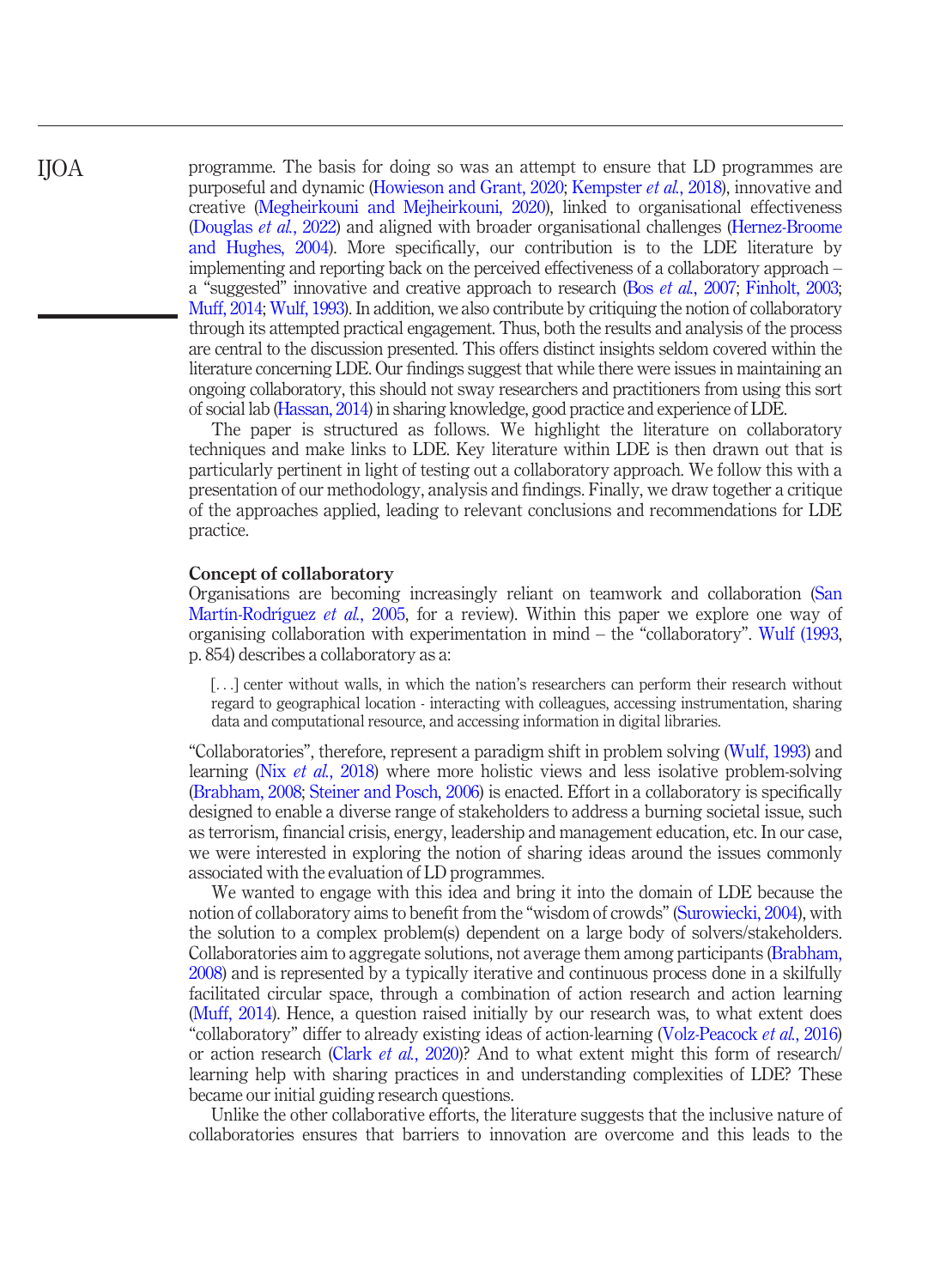programme. The basis for doing so was an attempt to ensure that LD programmes are purposeful and dynamic [\(Howieson and Grant, 2020;](#page-12-0) [Kempster](#page-12-1) et al., 2018), innovative and creative ([Megheirkouni and Mejheirkouni, 2020](#page-13-0)), linked to organisational effectiveness [\(Douglas](#page-11-0) et al., 2022) and aligned with broader organisational challenges ([Hernez-Broome](#page-12-2) [and Hughes, 2004\)](#page-12-2). More specifically, our contribution is to the LDE literature by implementing and reporting back on the perceived effectiveness of a collaboratory approach – a "suggested" innovative and creative approach to research (Bos *et al.*[, 2007;](#page-11-1) [Finholt, 2003;](#page-12-3) [Muff, 2014;](#page-13-1) [Wulf, 1993\)](#page-14-0). In addition, we also contribute by critiquing the notion of collaboratory through its attempted practical engagement. Thus, both the results and analysis of the process are central to the discussion presented. This offers distinct insights seldom covered within the literature concerning LDE. Our findings suggest that while there were issues in maintaining an ongoing collaboratory, this should not sway researchers and practitioners from using this sort of social lab ([Hassan, 2014\)](#page-12-4) in sharing knowledge, good practice and experience of LDE.

The paper is structured as follows. We highlight the literature on collaboratory techniques and make links to LDE. Key literature within LDE is then drawn out that is particularly pertinent in light of testing out a collaboratory approach. We follow this with a presentation of our methodology, analysis and findings. Finally, we draw together a critique of the approaches applied, leading to relevant conclusions and recommendations for LDE practice.

## Concept of collaboratory

Organisations are becoming increasingly reliant on teamwork and collaboration ([San](#page-13-2) [Martín-Rodríguez](#page-13-2) et al., 2005, for a review). Within this paper we explore one way of organising collaboration with experimentation in mind – the "collaboratory". [Wulf \(1993,](#page-14-0) p. 854) describes a collaboratory as a:

[...] center without walls, in which the nation's researchers can perform their research without regard to geographical location - interacting with colleagues, accessing instrumentation, sharing data and computational resource, and accessing information in digital libraries.

"Collaboratories", therefore, represent a paradigm shift in problem solving [\(Wulf, 1993\)](#page-14-0) and learning (Nix et al.[, 2018\)](#page-13-3) where more holistic views and less isolative problem-solving [\(Brabham, 2008](#page-11-2); [Steiner and Posch, 2006](#page-13-4)) is enacted. Effort in a collaboratory is specifically designed to enable a diverse range of stakeholders to address a burning societal issue, such as terrorism, financial crisis, energy, leadership and management education, etc. In our case, we were interested in exploring the notion of sharing ideas around the issues commonly associated with the evaluation of LD programmes.

We wanted to engage with this idea and bring it into the domain of LDE because the notion of collaboratory aims to benefit from the "wisdom of crowds" [\(Surowiecki, 2004\)](#page-14-1), with the solution to a complex problem(s) dependent on a large body of solvers/stakeholders. Collaboratories aim to aggregate solutions, not average them among participants ([Brabham,](#page-11-2) [2008](#page-11-2)) and is represented by a typically iterative and continuous process done in a skilfully facilitated circular space, through a combination of action research and action learning [\(Muff, 2014\)](#page-13-1). Hence, a question raised initially by our research was, to what extent does "collaboratory" differ to already existing ideas of action-learning ([Volz-Peacock](#page-14-2) et al., 2016) or action research (Clark et al.[, 2020](#page-11-3))? And to what extent might this form of research/ learning help with sharing practices in and understanding complexities of LDE? These became our initial guiding research questions.

Unlike the other collaborative efforts, the literature suggests that the inclusive nature of collaboratories ensures that barriers to innovation are overcome and this leads to the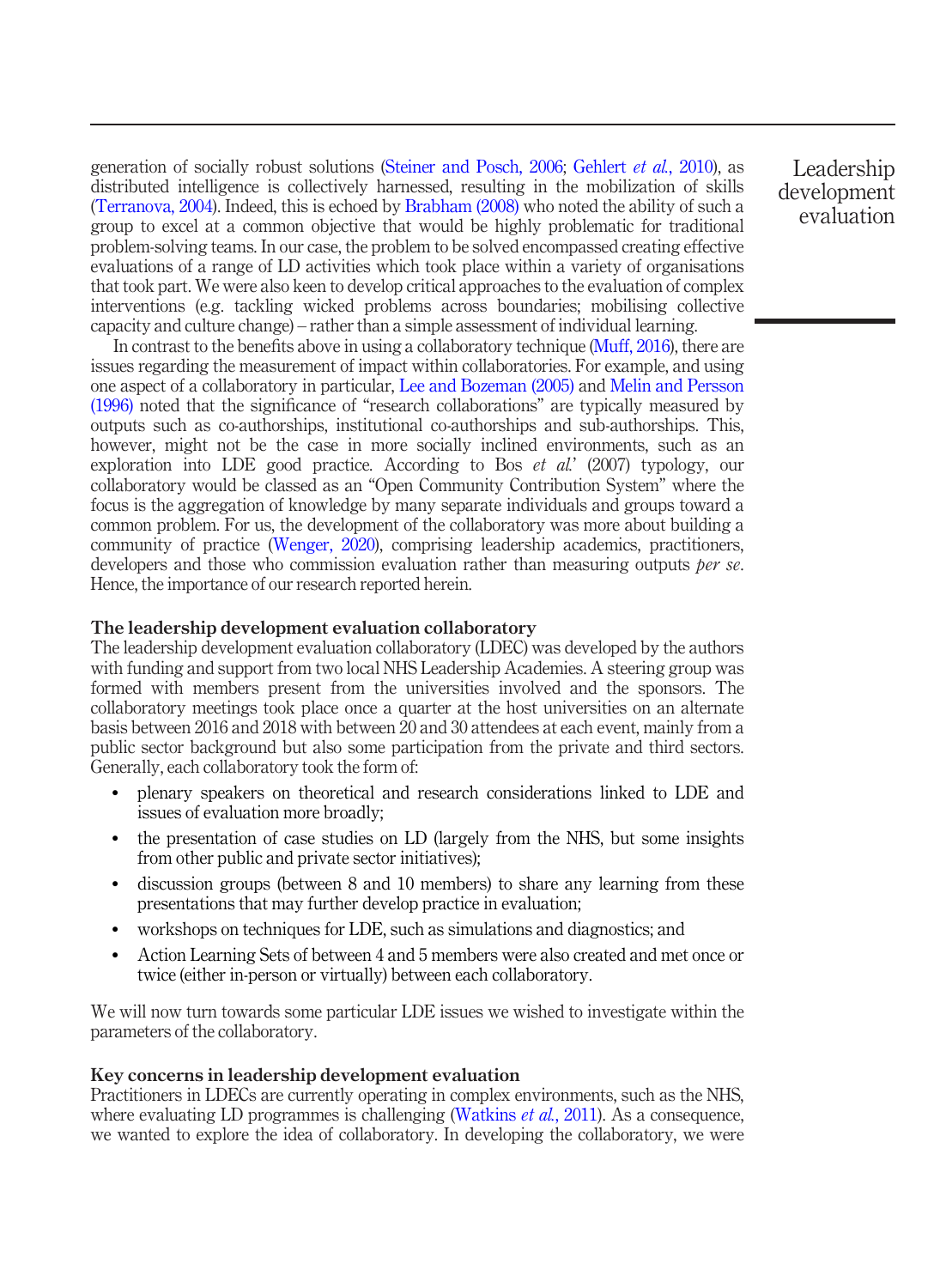generation of socially robust solutions ([Steiner and Posch, 2006](#page-13-4); [Gehlert](#page-12-5) et al., 2010), as distributed intelligence is collectively harnessed, resulting in the mobilization of skills [\(Terranova, 2004](#page-14-3)). Indeed, this is echoed by [Brabham \(2008\)](#page-11-2) who noted the ability of such a group to excel at a common objective that would be highly problematic for traditional problem-solving teams. In our case, the problem to be solved encompassed creating effective evaluations of a range of LD activities which took place within a variety of organisations that took part. We were also keen to develop critical approaches to the evaluation of complex interventions (e.g. tackling wicked problems across boundaries; mobilising collective capacity and culture change) – rather than a simple assessment of individual learning.

In contrast to the benefits above in using a collaboratory technique ([Muff, 2016\)](#page-13-5), there are issues regarding the measurement of impact within collaboratories. For example, and using one aspect of a collaboratory in particular, [Lee and Bozeman \(2005\)](#page-12-6) and [Melin and Persson](#page-13-6) [\(1996\)](#page-13-6) noted that the significance of "research collaborations" are typically measured by outputs such as co-authorships, institutional co-authorships and sub-authorships. This, however, might not be the case in more socially inclined environments, such as an exploration into LDE good practice. According to Bos *et al.*' (2007) typology, our collaboratory would be classed as an "Open Community Contribution System" where the focus is the aggregation of knowledge by many separate individuals and groups toward a common problem. For us, the development of the collaboratory was more about building a community of practice [\(Wenger, 2020](#page-14-4)), comprising leadership academics, practitioners, developers and those who commission evaluation rather than measuring outputs *ber se*. Hence, the importance of our research reported herein.

# The leadership development evaluation collaboratory

The leadership development evaluation collaboratory (LDEC) was developed by the authors with funding and support from two local NHS Leadership Academies. A steering group was formed with members present from the universities involved and the sponsors. The collaboratory meetings took place once a quarter at the host universities on an alternate basis between 2016 and 2018 with between 20 and 30 attendees at each event, mainly from a public sector background but also some participation from the private and third sectors. Generally, each collaboratory took the form of:

- plenary speakers on theoretical and research considerations linked to LDE and issues of evaluation more broadly;
- the presentation of case studies on LD (largely from the NHS, but some insights from other public and private sector initiatives);
- discussion groups (between 8 and 10 members) to share any learning from these presentations that may further develop practice in evaluation;
- workshops on techniques for LDE, such as simulations and diagnostics; and
- Action Learning Sets of between 4 and 5 members were also created and met once or twice (either in-person or virtually) between each collaboratory.

We will now turn towards some particular LDE issues we wished to investigate within the parameters of the collaboratory.

# Key concerns in leadership development evaluation

Practitioners in LDECs are currently operating in complex environments, such as the NHS, where evaluating LD programmes is challenging [\(Watkins](#page-14-5) *et al.*, 2011). As a consequence, we wanted to explore the idea of collaboratory. In developing the collaboratory, we were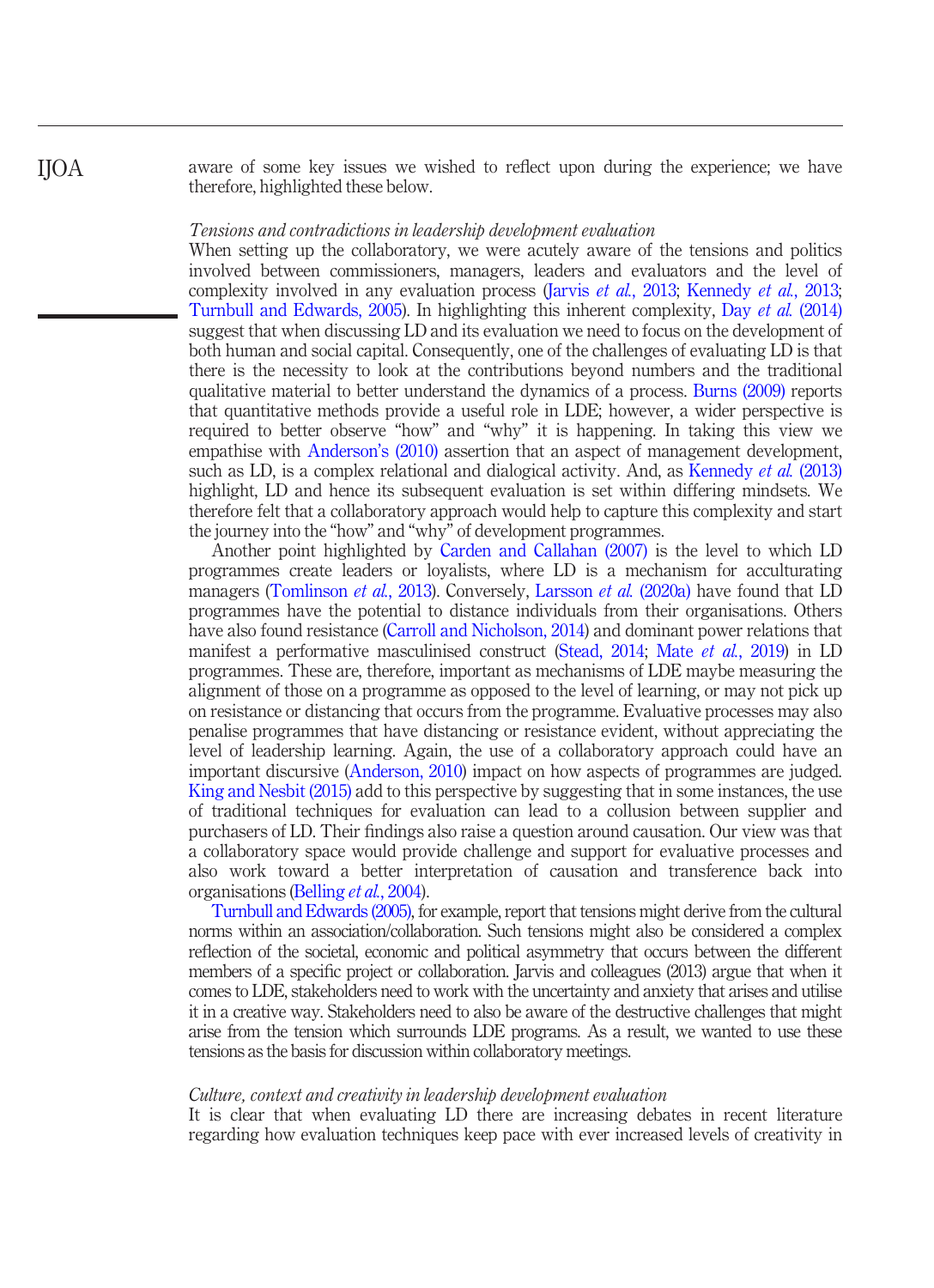aware of some key issues we wished to reflect upon during the experience; we have therefore, highlighted these below.

#### Tensions and contradictions in leadership development evaluation

IJOA

When setting up the collaboratory, we were acutely aware of the tensions and politics involved between commissioners, managers, leaders and evaluators and the level of complexity involved in any evaluation process (Jarvis *et al.*[, 2013](#page-12-7); [Kennedy](#page-12-8) *et al.*, 2013; [Turnbull and Edwards, 2005](#page-14-6)). In highlighting this inherent complexity, Day et al. [\(2014\)](#page-11-4) suggest that when discussing LD and its evaluation we need to focus on the development of both human and social capital. Consequently, one of the challenges of evaluating LD is that there is the necessity to look at the contributions beyond numbers and the traditional qualitative material to better understand the dynamics of a process. [Burns \(2009\)](#page-11-5) reports that quantitative methods provide a useful role in LDE; however, a wider perspective is required to better observe "how" and "why" it is happening. In taking this view we empathise with [Anderson](#page-11-6)'s (2010) assertion that an aspect of management development, such as LD, is a complex relational and dialogical activity. And, as [Kennedy](#page-12-8) *et al.* (2013) highlight, LD and hence its subsequent evaluation is set within differing mindsets. We therefore felt that a collaboratory approach would help to capture this complexity and start the journey into the "how" and "why" of development programmes.

Another point highlighted by [Carden and Callahan \(2007\)](#page-11-7) is the level to which LD programmes create leaders or loyalists, where LD is a mechanism for acculturating managers ([Tomlinson](#page-14-7) *et al.*, 2013). Conversely, [Larsson](#page-12-9) *et al.* (2020a) have found that LD programmes have the potential to distance individuals from their organisations. Others have also found resistance ([Carroll and Nicholson, 2014\)](#page-11-8) and dominant power relations that manifest a performative masculinised construct [\(Stead, 2014;](#page-13-7) Mate et al.[, 2019](#page-13-8)) in LD programmes. These are, therefore, important as mechanisms of LDE maybe measuring the alignment of those on a programme as opposed to the level of learning, or may not pick up on resistance or distancing that occurs from the programme. Evaluative processes may also penalise programmes that have distancing or resistance evident, without appreciating the level of leadership learning. Again, the use of a collaboratory approach could have an important discursive [\(Anderson, 2010](#page-11-6)) impact on how aspects of programmes are judged. [King and Nesbit \(2015\)](#page-12-10) add to this perspective by suggesting that in some instances, the use of traditional techniques for evaluation can lead to a collusion between supplier and purchasers of LD. Their findings also raise a question around causation. Our view was that a collaboratory space would provide challenge and support for evaluative processes and also work toward a better interpretation of causation and transference back into organisations [\(Belling](#page-11-9) et al., 2004).

[Turnbull and Edwards \(2005\)](#page-14-6), for example, report that tensions might derive from the cultural norms within an association/collaboration. Such tensions might also be considered a complex reflection of the societal, economic and political asymmetry that occurs between the different members of a specific project or collaboration. Jarvis and colleagues (2013) argue that when it comes to LDE, stakeholders need to work with the uncertainty and anxiety that arises and utilise it in a creative way. Stakeholders need to also be aware of the destructive challenges that might arise from the tension which surrounds LDE programs. As a result, we wanted to use these tensions as the basis for discussion within collaboratory meetings.

#### Culture, context and creativity in leadership development evaluation

It is clear that when evaluating LD there are increasing debates in recent literature regarding how evaluation techniques keep pace with ever increased levels of creativity in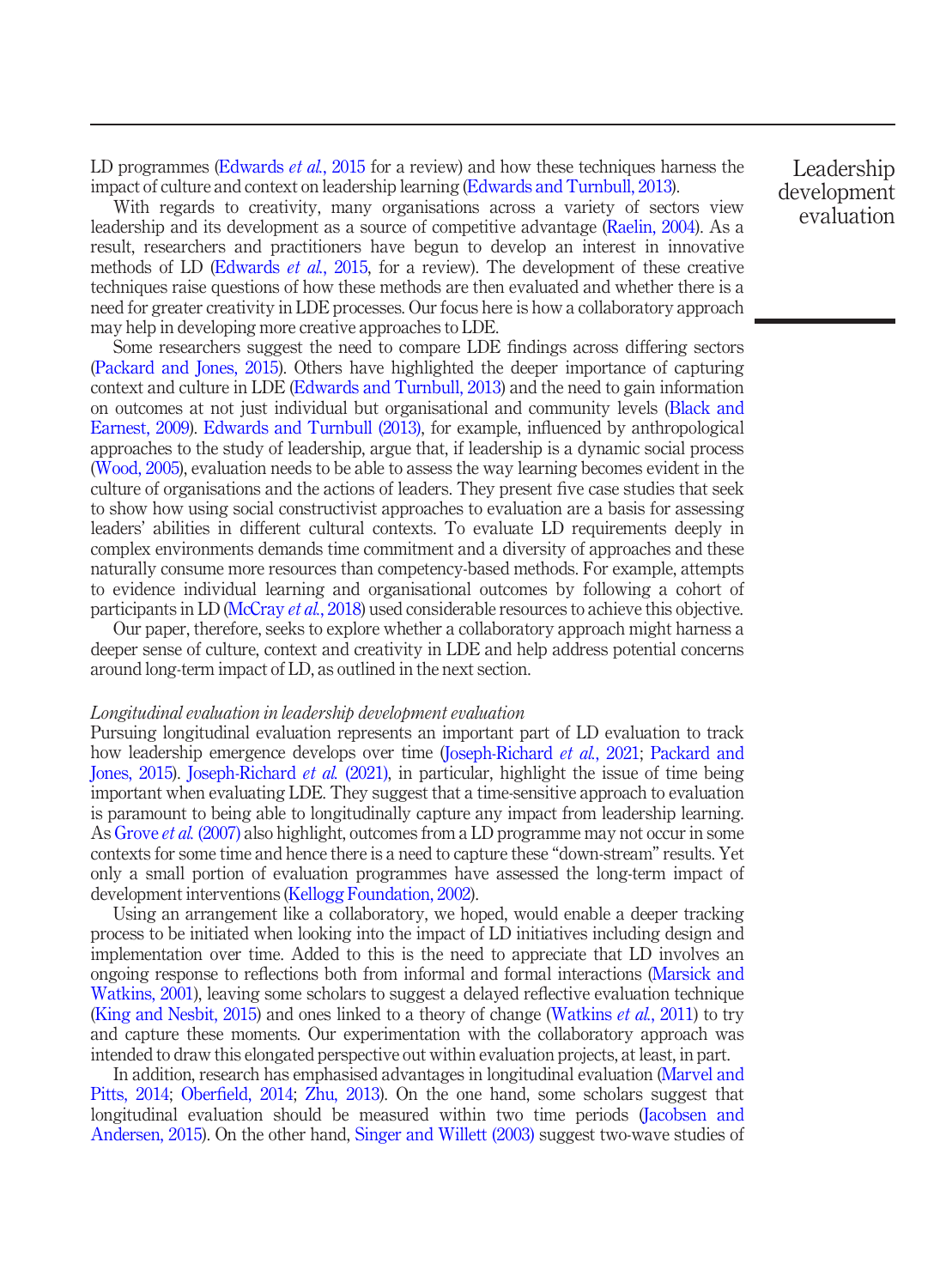LD programmes ([Edwards](#page-12-11) *et al.*, 2015 for a review) and how these techniques harness the impact of culture and context on leadership learning ([Edwards and Turnbull, 2013\)](#page-12-12).

With regards to creativity, many organisations across a variety of sectors view leadership and its development as a source of competitive advantage ([Raelin, 2004](#page-13-9)). As a result, researchers and practitioners have begun to develop an interest in innovative methods of LD ([Edwards](#page-12-11) *et al.*, 2015, for a review). The development of these creative techniques raise questions of how these methods are then evaluated and whether there is a need for greater creativity in LDE processes. Our focus here is how a collaboratory approach may help in developing more creative approaches to LDE.

Some researchers suggest the need to compare LDE findings across differing sectors [\(Packard and Jones, 2015](#page-13-10)). Others have highlighted the deeper importance of capturing context and culture in LDE [\(Edwards and Turnbull, 2013\)](#page-12-12) and the need to gain information on outcomes at not just individual but organisational and community levels ([Black and](#page-11-10) [Earnest, 2009](#page-11-10)). [Edwards and Turnbull \(2013\)](#page-12-12), for example, influenced by anthropological approaches to the study of leadership, argue that, if leadership is a dynamic social process [\(Wood, 2005\)](#page-14-8), evaluation needs to be able to assess the way learning becomes evident in the culture of organisations and the actions of leaders. They present five case studies that seek to show how using social constructivist approaches to evaluation are a basis for assessing leaders' abilities in different cultural contexts. To evaluate LD requirements deeply in complex environments demands time commitment and a diversity of approaches and these naturally consume more resources than competency-based methods. For example, attempts to evidence individual learning and organisational outcomes by following a cohort of participants in LD ([McCray](#page-12-13) *et al.*, 2018) used considerable resources to achieve this objective.

Our paper, therefore, seeks to explore whether a collaboratory approach might harness a deeper sense of culture, context and creativity in LDE and help address potential concerns around long-term impact of LD, as outlined in the next section.

## Longitudinal evaluation in leadership development evaluation

Pursuing longitudinal evaluation represents an important part of LD evaluation to track how leadership emergence develops over time ([Joseph-Richard](#page-12-14) *et al.*, 2021; [Packard and](#page-13-10) [Jones, 2015](#page-13-10)). [Joseph-Richard](#page-12-14) et al. (2021), in particular, highlight the issue of time being important when evaluating LDE. They suggest that a time-sensitive approach to evaluation is paramount to being able to longitudinally capture any impact from leadership learning. As [Grove](#page-12-15) et al. (2007) also highlight, outcomes from a LD programme may not occur in some contexts for some time and hence there is a need to capture these "down-stream" results. Yet only a small portion of evaluation programmes have assessed the long-term impact of development interventions [\(Kellogg Foundation, 2002\)](#page-12-16).

Using an arrangement like a collaboratory, we hoped, would enable a deeper tracking process to be initiated when looking into the impact of LD initiatives including design and implementation over time. Added to this is the need to appreciate that LD involves an ongoing response to reflections both from informal and formal interactions ([Marsick and](#page-13-11) [Watkins, 2001](#page-13-11)), leaving some scholars to suggest a delayed reflective evaluation technique [\(King and Nesbit, 2015\)](#page-12-10) and ones linked to a theory of change [\(Watkins](#page-14-5)  $et al., 2011$ ) to try and capture these moments. Our experimentation with the collaboratory approach was intended to draw this elongated perspective out within evaluation projects, at least, in part.

In addition, research has emphasised advantages in longitudinal evaluation ([Marvel and](#page-13-12) [Pitts, 2014](#page-13-12); Oberfi[eld, 2014](#page-13-13); [Zhu, 2013\)](#page-14-9). On the one hand, some scholars suggest that longitudinal evaluation should be measured within two time periods [\(Jacobsen and](#page-12-17) [Andersen, 2015\)](#page-12-17). On the other hand, [Singer and Willett \(2003\)](#page-13-14) suggest two-wave studies of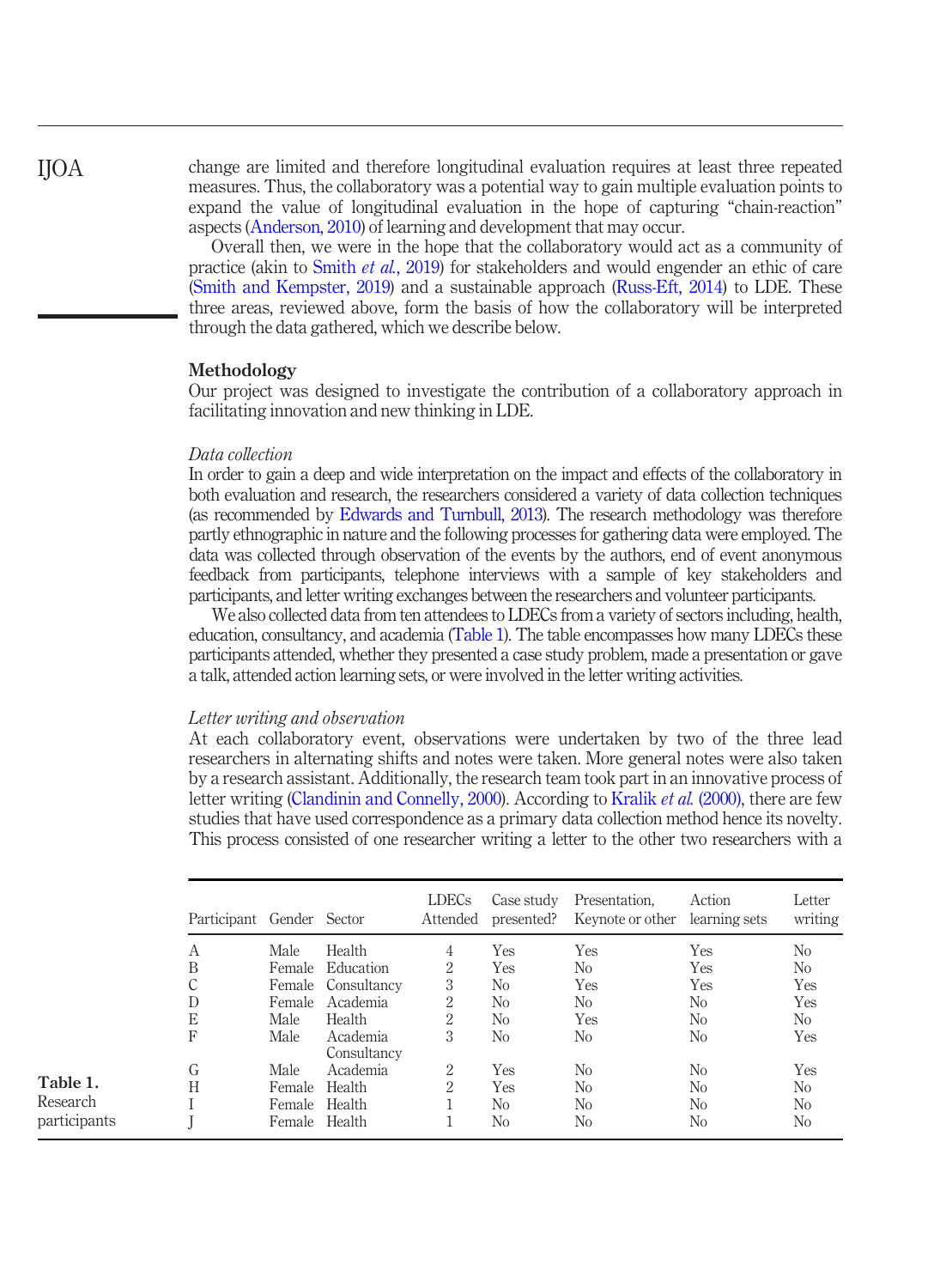IJOA

<span id="page-5-0"></span>Table 1. Research participants

change are limited and therefore longitudinal evaluation requires at least three repeated measures. Thus, the collaboratory was a potential way to gain multiple evaluation points to expand the value of longitudinal evaluation in the hope of capturing "chain-reaction" aspects [\(Anderson, 2010\)](#page-11-6) of learning and development that may occur.

Overall then, we were in the hope that the collaboratory would act as a community of practice (akin to Smith et al.[, 2019](#page-13-15)) for stakeholders and would engender an ethic of care [\(Smith and Kempster, 2019](#page-13-16)) and a sustainable approach ([Russ-Eft, 2014\)](#page-13-17) to LDE. These three areas, reviewed above, form the basis of how the collaboratory will be interpreted through the data gathered, which we describe below.

## Methodology

Our project was designed to investigate the contribution of a collaboratory approach in facilitating innovation and new thinking in LDE.

## Data collection

In order to gain a deep and wide interpretation on the impact and effects of the collaboratory in both evaluation and research, the researchers considered a variety of data collection techniques (as recommended by [Edwards and Turnbull, 2013\)](#page-12-12). The research methodology was therefore partly ethnographic in nature and the following processes for gathering data were employed. The data was collected through observation of the events by the authors, end of event anonymous feedback from participants, telephone interviews with a sample of key stakeholders and participants, and letter writing exchanges between the researchers and volunteer participants.

We also collected data from ten attendees to LDECs from a variety of sectors including, health, education, consultancy, and academia [\(Table 1](#page-5-0)). The table encompasses how many LDECs these participants attended, whether they presented a case study problem, made a presentation or gave a talk, attended action learning sets, or were involved in the letter writing activities.

## Letter writing and observation

At each collaboratory event, observations were undertaken by two of the three lead researchers in alternating shifts and notes were taken. More general notes were also taken by a research assistant. Additionally, the research team took part in an innovative process of letter writing [\(Clandinin and Connelly, 2000\)](#page-11-11). According to [Kralik](#page-12-18) et al. (2000), there are few studies that have used correspondence as a primary data collection method hence its novelty. This process consisted of one researcher writing a letter to the other two researchers with a

| Participant Gender Sector |        |                         | LDECs<br>Attended | Case study<br>presented? | Presentation.<br>Keynote or other | Action<br>learning sets | Letter<br>writing |
|---------------------------|--------|-------------------------|-------------------|--------------------------|-----------------------------------|-------------------------|-------------------|
| А                         | Male   | Health                  | 4                 | Yes                      | Yes                               | Yes                     | No                |
| B                         | Female | Education               | $\overline{2}$    | <b>Yes</b>               | N <sub>0</sub>                    | <b>Yes</b>              | N <sub>o</sub>    |
| C                         | Female | Consultancy             | 3                 | No.                      | <b>Yes</b>                        | Yes                     | Yes               |
| D                         | Female | Academia                | 2                 | N <sub>0</sub>           | No                                | No                      | Yes               |
| E                         | Male   | Health                  | $\overline{2}$    | N <sub>0</sub>           | <b>Yes</b>                        | N <sub>0</sub>          | N <sub>0</sub>    |
| F                         | Male   | Academia<br>Consultancy | 3                 | No                       | No                                | No                      | Yes               |
| G                         | Male.  | Academia                | 2                 | <b>Yes</b>               | No.                               | No                      | Yes               |
| H                         | Female | Health                  | 2                 | <b>Yes</b>               | N <sub>0</sub>                    | No                      | No                |
|                           | Female | Health                  |                   | N <sub>0</sub>           | No                                | No                      | N <sub>o</sub>    |
|                           | Female | Health                  |                   | No                       | No                                | No                      | No                |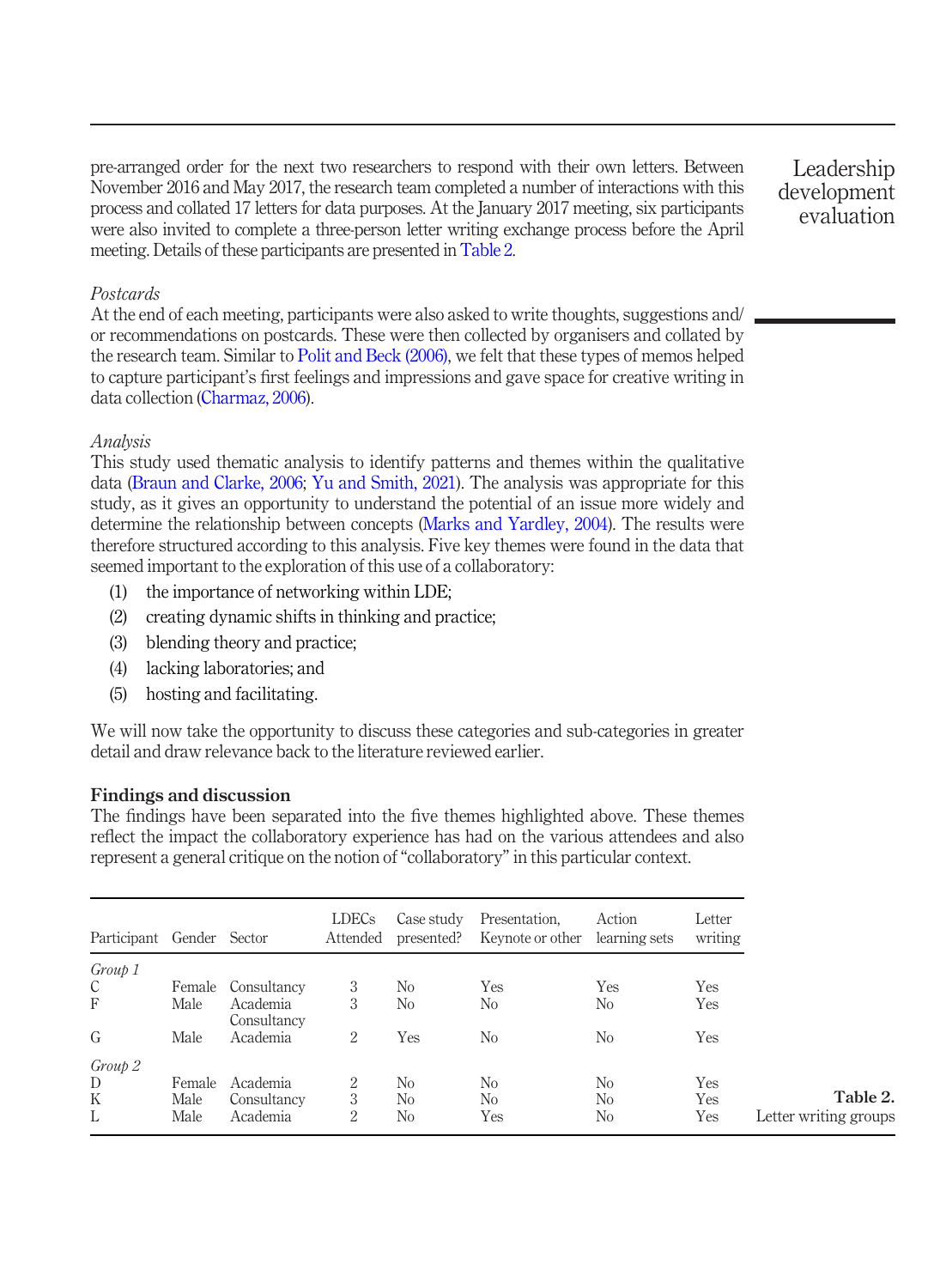pre-arranged order for the next two researchers to respond with their own letters. Between November 2016 and May 2017, the research team completed a number of interactions with this process and collated 17 letters for data purposes. At the January 2017 meeting, six participants were also invited to complete a three-person letter writing exchange process before the April meeting. Details of these participants are presented in [Table 2.](#page-6-0)

Leadership development evaluation

# Postcards

At the end of each meeting, participants were also asked to write thoughts, suggestions and/ or recommendations on postcards. These were then collected by organisers and collated by the research team. Similar to [Polit and Beck \(2006\),](#page-13-18) we felt that these types of memos helped to capture participant's first feelings and impressions and gave space for creative writing in data collection [\(Charmaz, 2006\)](#page-11-12).

## Analysis

This study used thematic analysis to identify patterns and themes within the qualitative data ([Braun and Clarke, 2006](#page-11-13); [Yu and Smith, 2021](#page-14-10)). The analysis was appropriate for this study, as it gives an opportunity to understand the potential of an issue more widely and determine the relationship between concepts ([Marks and Yardley, 2004](#page-13-19)). The results were therefore structured according to this analysis. Five key themes were found in the data that seemed important to the exploration of this use of a collaboratory:

- (1) the importance of networking within LDE;
- (2) creating dynamic shifts in thinking and practice;
- (3) blending theory and practice;
- (4) lacking laboratories; and
- (5) hosting and facilitating.

We will now take the opportunity to discuss these categories and sub-categories in greater detail and draw relevance back to the literature reviewed earlier.

# Findings and discussion

The findings have been separated into the five themes highlighted above. These themes reflect the impact the collaboratory experience has had on the various attendees and also represent a general critique on the notion of"collaboratory" in this particular context.

<span id="page-6-0"></span>

| Participant Gender Sector |        |                         | <b>LDECs</b><br>Attended | Case study<br>presented? | Presentation.<br>Keynote or other | Action<br>learning sets | Letter<br>writing |                       |
|---------------------------|--------|-------------------------|--------------------------|--------------------------|-----------------------------------|-------------------------|-------------------|-----------------------|
| Group 1                   |        |                         |                          |                          |                                   |                         |                   |                       |
| C                         | Female | Consultancy             | 3                        | N <sub>0</sub>           | Yes                               | Yes                     | Yes               |                       |
| F                         | Male   | Academia<br>Consultancy | 3                        | No                       | N <sub>o</sub>                    | No                      | Yes               |                       |
| G                         | Male   | Academia                | 2                        | Yes                      | N <sub>0</sub>                    | No                      | Yes               |                       |
| Group 2                   |        |                         |                          |                          |                                   |                         |                   |                       |
| D                         | Female | Academia                | 2                        | No                       | N <sub>0</sub>                    | No                      | Yes               |                       |
| K                         | Male   | Consultancy             | 3                        | No                       | N <sub>0</sub>                    | No                      | Yes               | Table 2.              |
| L                         | Male   | Academia                | 2                        | No                       | Yes                               | No                      | Yes               | Letter writing groups |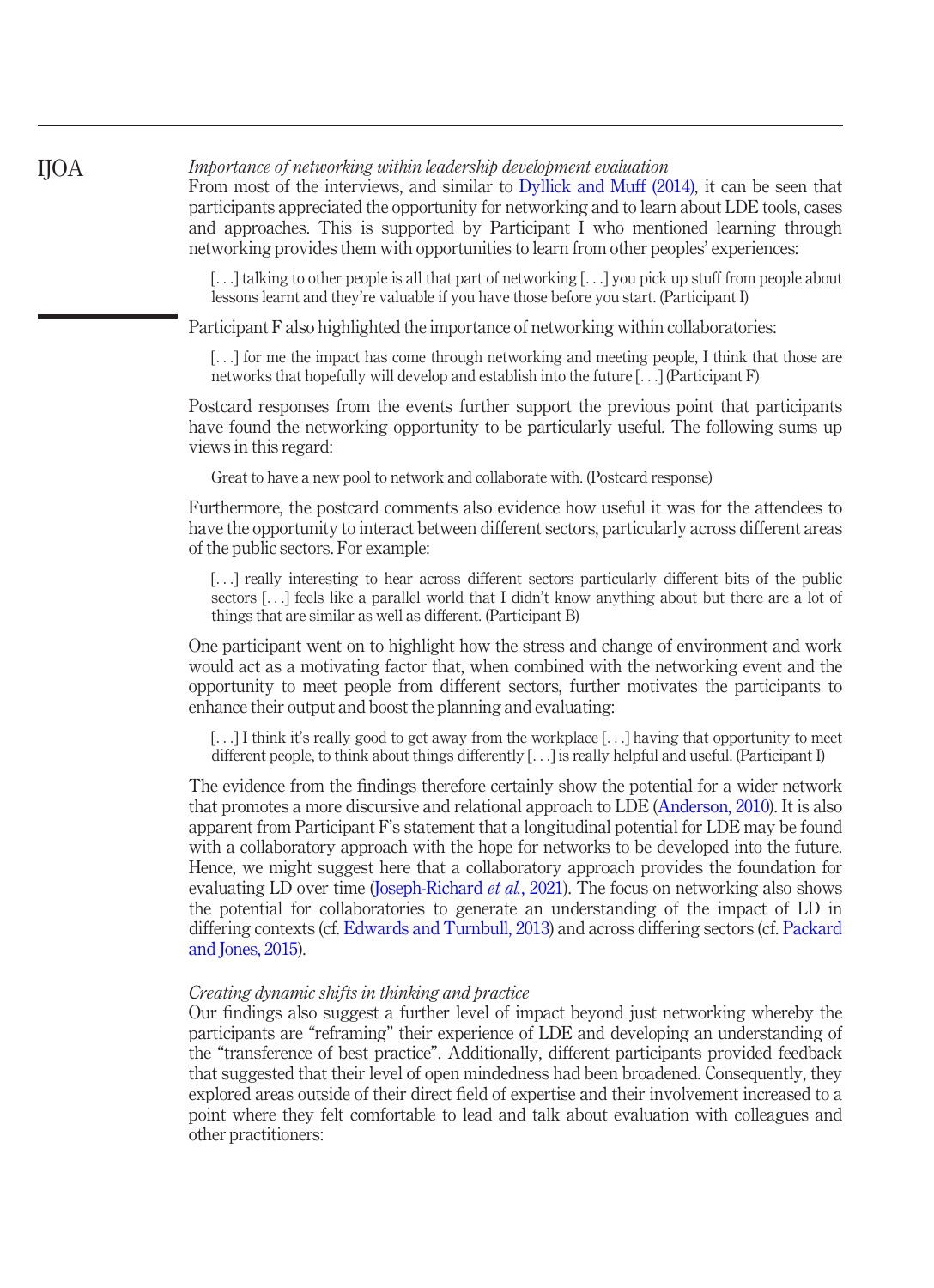Importance of networking within leadership development evaluation

From most of the interviews, and similar to [Dyllick and Muff \(2014\)](#page-12-19), it can be seen that participants appreciated the opportunity for networking and to learn about LDE tools, cases and approaches. This is supported by Participant I who mentioned learning through networking provides them with opportunities to learn from other peoples' experiences:

[...] talking to other people is all that part of networking [...] you pick up stuff from people about lessons learnt and they're valuable if you have those before you start. (Participant I)

Participant F also highlighted the importance of networking within collaboratories:

[...] for me the impact has come through networking and meeting people, I think that those are networks that hopefully will develop and establish into the future [...] (Participant F)

Postcard responses from the events further support the previous point that participants have found the networking opportunity to be particularly useful. The following sums up views in this regard:

Great to have a new pool to network and collaborate with. (Postcard response)

Furthermore, the postcard comments also evidence how useful it was for the attendees to have the opportunity to interact between different sectors, particularly across different areas of the public sectors. For example:

[...] really interesting to hear across different sectors particularly different bits of the public sectors [...] feels like a parallel world that I didn't know anything about but there are a lot of things that are similar as well as different. (Participant B)

One participant went on to highlight how the stress and change of environment and work would act as a motivating factor that, when combined with the networking event and the opportunity to meet people from different sectors, further motivates the participants to enhance their output and boost the planning and evaluating:

[...] I think it's really good to get away from the workplace [...] having that opportunity to meet different people, to think about things differently [...] is really helpful and useful. (Participant I)

The evidence from the findings therefore certainly show the potential for a wider network that promotes a more discursive and relational approach to LDE [\(Anderson, 2010](#page-11-6)). It is also apparent from Participant F's statement that a longitudinal potential for LDE may be found with a collaboratory approach with the hope for networks to be developed into the future. Hence, we might suggest here that a collaboratory approach provides the foundation for evaluating LD over time ([Joseph-Richard](#page-12-14) *et al.*, 2021). The focus on networking also shows the potential for collaboratories to generate an understanding of the impact of LD in differing contexts (cf. [Edwards and Turnbull, 2013](#page-12-12)) and across differing sectors (cf. [Packard](#page-13-10) [and Jones, 2015](#page-13-10)).

# Creating dynamic shifts in thinking and practice

Our findings also suggest a further level of impact beyond just networking whereby the participants are "reframing" their experience of LDE and developing an understanding of the "transference of best practice". Additionally, different participants provided feedback that suggested that their level of open mindedness had been broadened. Consequently, they explored areas outside of their direct field of expertise and their involvement increased to a point where they felt comfortable to lead and talk about evaluation with colleagues and other practitioners:

IJOA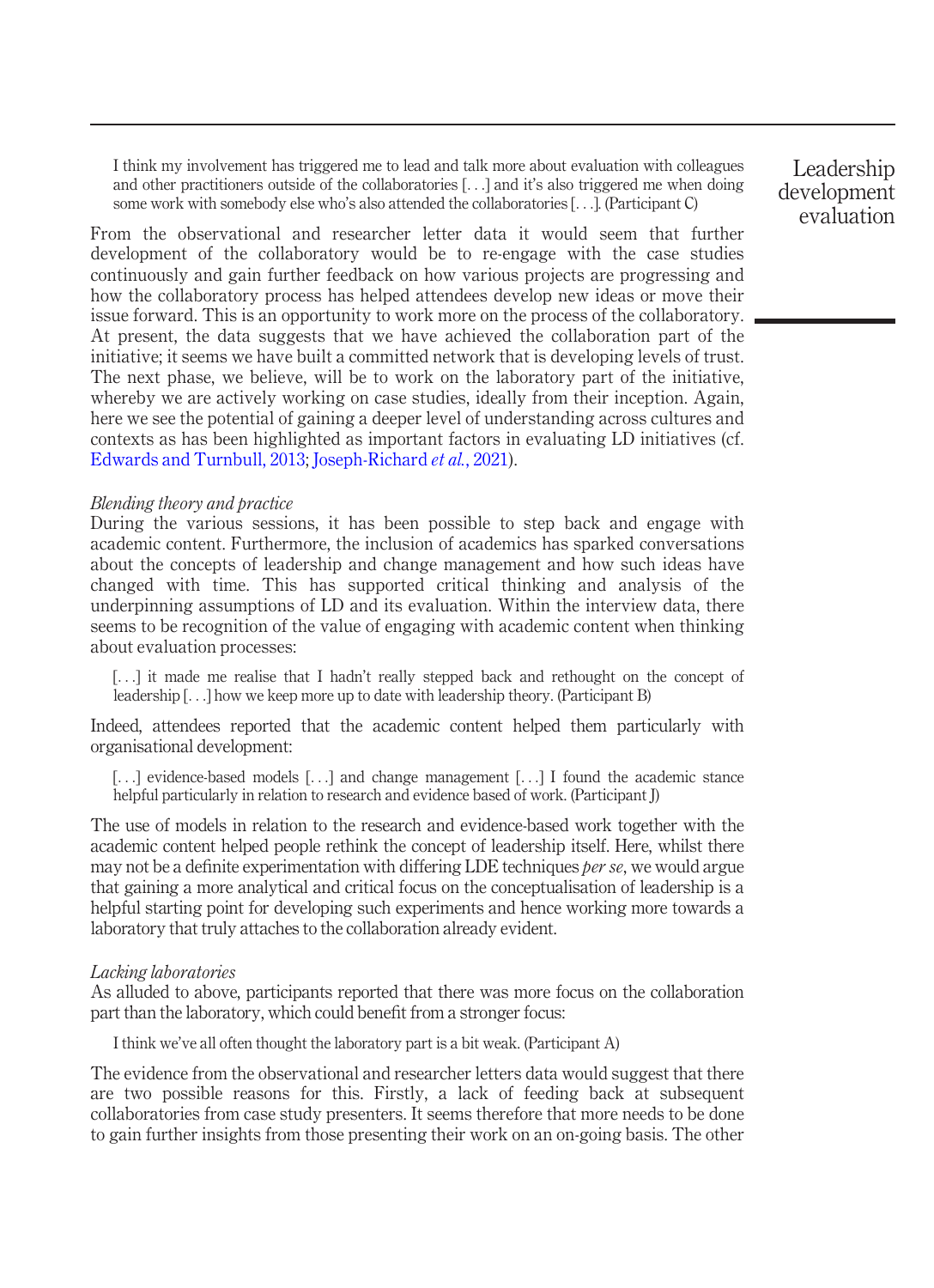I think my involvement has triggered me to lead and talk more about evaluation with colleagues and other practitioners outside of the collaboratories [...] and it's also triggered me when doing some work with somebody else who's also attended the collaboratories [...]. (Participant C)

From the observational and researcher letter data it would seem that further development of the collaboratory would be to re-engage with the case studies continuously and gain further feedback on how various projects are progressing and how the collaboratory process has helped attendees develop new ideas or move their issue forward. This is an opportunity to work more on the process of the collaboratory. At present, the data suggests that we have achieved the collaboration part of the initiative; it seems we have built a committed network that is developing levels of trust. The next phase, we believe, will be to work on the laboratory part of the initiative, whereby we are actively working on case studies, ideally from their inception. Again, here we see the potential of gaining a deeper level of understanding across cultures and contexts as has been highlighted as important factors in evaluating LD initiatives (cf. [Edwards and Turnbull, 2013](#page-12-12); [Joseph-Richard](#page-12-14) et al., 2021).

## Blending theory and practice

During the various sessions, it has been possible to step back and engage with academic content. Furthermore, the inclusion of academics has sparked conversations about the concepts of leadership and change management and how such ideas have changed with time. This has supported critical thinking and analysis of the underpinning assumptions of LD and its evaluation. Within the interview data, there seems to be recognition of the value of engaging with academic content when thinking about evaluation processes:

[...] it made me realise that I hadn't really stepped back and rethought on the concept of leadership [...] how we keep more up to date with leadership theory. (Participant B)

Indeed, attendees reported that the academic content helped them particularly with organisational development:

[...] evidence-based models [...] and change management [...] I found the academic stance helpful particularly in relation to research and evidence based of work. (Participant J)

The use of models in relation to the research and evidence-based work together with the academic content helped people rethink the concept of leadership itself. Here, whilst there may not be a definite experimentation with differing LDE techniques *per se*, we would argue that gaining a more analytical and critical focus on the conceptualisation of leadership is a helpful starting point for developing such experiments and hence working more towards a laboratory that truly attaches to the collaboration already evident.

## Lacking laboratories

As alluded to above, participants reported that there was more focus on the collaboration part than the laboratory, which could benefit from a stronger focus:

I think we've all often thought the laboratory part is a bit weak. (Participant A)

The evidence from the observational and researcher letters data would suggest that there are two possible reasons for this. Firstly, a lack of feeding back at subsequent collaboratories from case study presenters. It seems therefore that more needs to be done to gain further insights from those presenting their work on an on-going basis. The other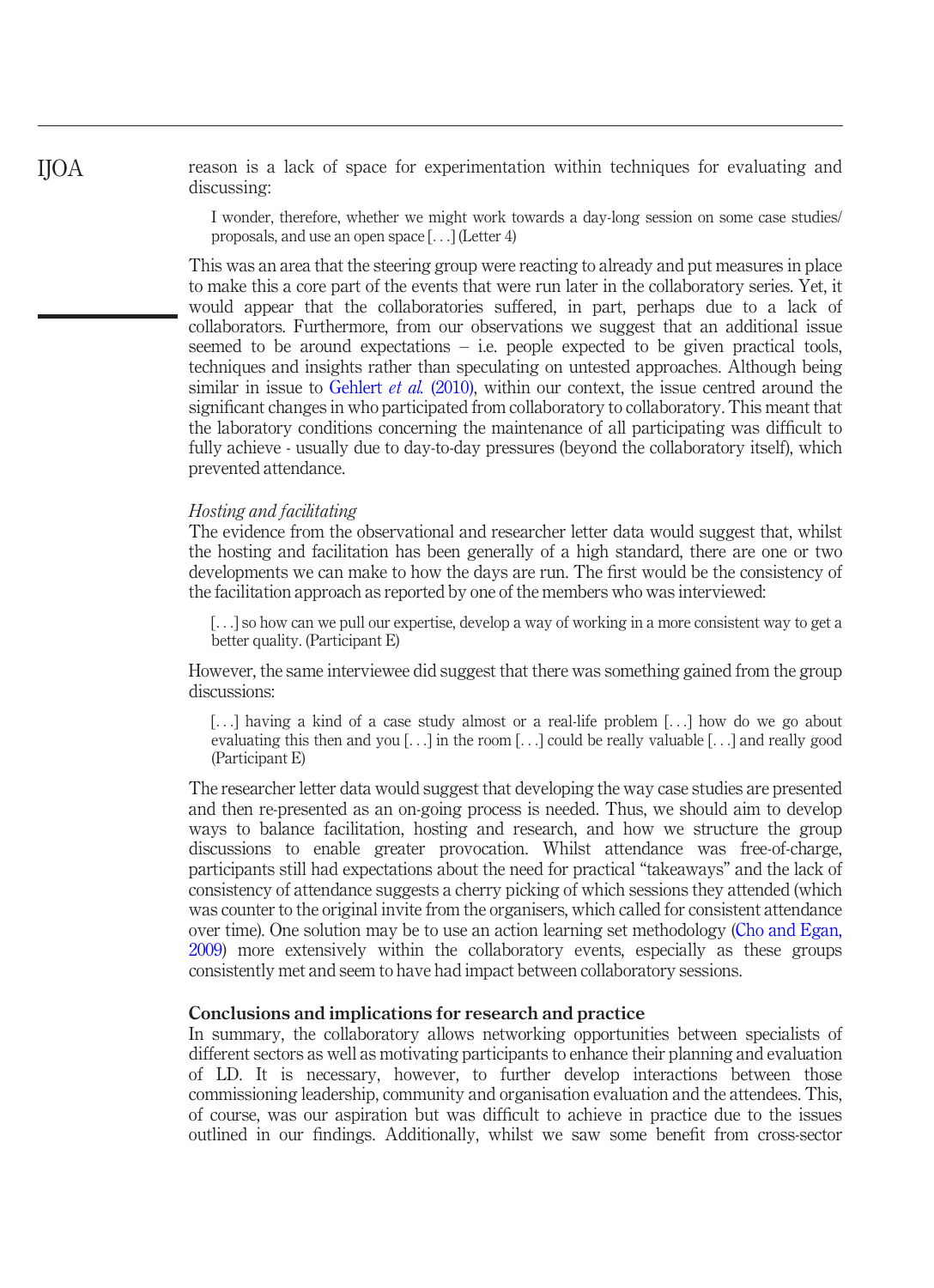reason is a lack of space for experimentation within techniques for evaluating and discussing:

I wonder, therefore, whether we might work towards a day-long session on some case studies/ proposals, and use an open space [...] (Letter 4)

This was an area that the steering group were reacting to already and put measures in place to make this a core part of the events that were run later in the collaboratory series. Yet, it would appear that the collaboratories suffered, in part, perhaps due to a lack of collaborators. Furthermore, from our observations we suggest that an additional issue seemed to be around expectations  $-$  i.e. people expected to be given practical tools, techniques and insights rather than speculating on untested approaches. Although being similar in issue to [Gehlert](#page-12-5) *et al.* (2010), within our context, the issue centred around the significant changes in who participated from collaboratory to collaboratory. This meant that the laboratory conditions concerning the maintenance of all participating was difficult to fully achieve - usually due to day-to-day pressures (beyond the collaboratory itself), which prevented attendance.

## Hosting and facilitating

The evidence from the observational and researcher letter data would suggest that, whilst the hosting and facilitation has been generally of a high standard, there are one or two developments we can make to how the days are run. The first would be the consistency of the facilitation approach as reported by one of the members who was interviewed:

[...] so how can we pull our expertise, develop a way of working in a more consistent way to get a better quality. (Participant E)

However, the same interviewee did suggest that there was something gained from the group discussions:

[...] having a kind of a case study almost or a real-life problem [...] how do we go about evaluating this then and you  $[...]$  in the room  $[...]$  could be really valuable  $[...]$  and really good (Participant E)

The researcher letter data would suggest that developing the way case studies are presented and then re-presented as an on-going process is needed. Thus, we should aim to develop ways to balance facilitation, hosting and research, and how we structure the group discussions to enable greater provocation. Whilst attendance was free-of-charge, participants still had expectations about the need for practical "takeaways" and the lack of consistency of attendance suggests a cherry picking of which sessions they attended (which was counter to the original invite from the organisers, which called for consistent attendance over time). One solution may be to use an action learning set methodology ([Cho and Egan,](#page-11-14) [2009](#page-11-14)) more extensively within the collaboratory events, especially as these groups consistently met and seem to have had impact between collaboratory sessions.

# Conclusions and implications for research and practice

In summary, the collaboratory allows networking opportunities between specialists of different sectors as well as motivating participants to enhance their planning and evaluation of LD. It is necessary, however, to further develop interactions between those commissioning leadership, community and organisation evaluation and the attendees. This, of course, was our aspiration but was difficult to achieve in practice due to the issues outlined in our findings. Additionally, whilst we saw some benefit from cross-sector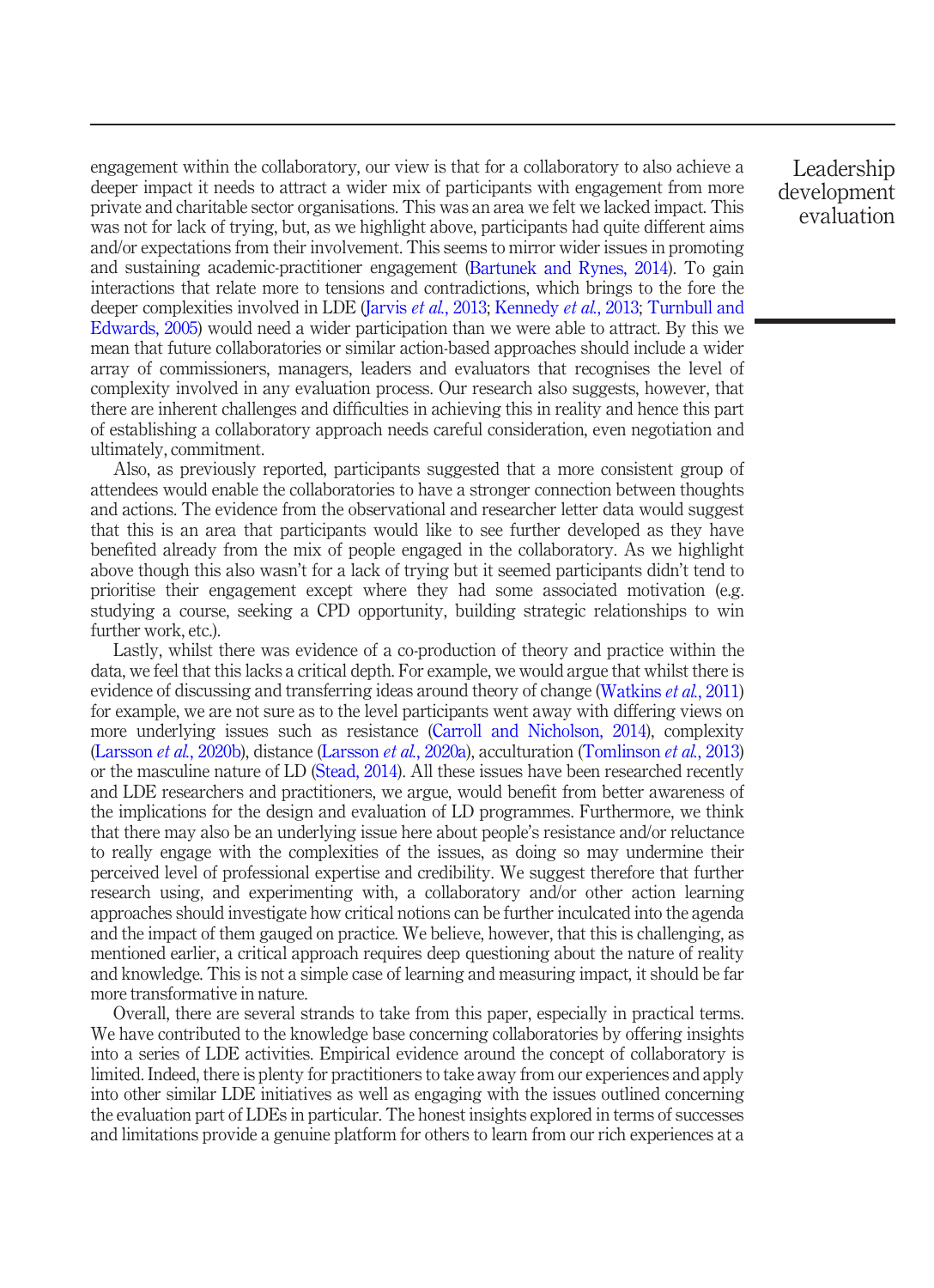engagement within the collaboratory, our view is that for a collaboratory to also achieve a deeper impact it needs to attract a wider mix of participants with engagement from more private and charitable sector organisations. This was an area we felt we lacked impact. This was not for lack of trying, but, as we highlight above, participants had quite different aims and/or expectations from their involvement. This seems to mirror wider issues in promoting and sustaining academic-practitioner engagement [\(Bartunek and Rynes, 2014](#page-11-15)). To gain interactions that relate more to tensions and contradictions, which brings to the fore the deeper complexities involved in LDE [\(Jarvis](#page-12-7) *et al.*, 2013; [Kennedy](#page-12-8) *et al.*, 2013; [Turnbull and](#page-14-6) [Edwards, 2005\)](#page-14-6) would need a wider participation than we were able to attract. By this we mean that future collaboratories or similar action-based approaches should include a wider array of commissioners, managers, leaders and evaluators that recognises the level of complexity involved in any evaluation process. Our research also suggests, however, that there are inherent challenges and difficulties in achieving this in reality and hence this part of establishing a collaboratory approach needs careful consideration, even negotiation and ultimately, commitment.

Also, as previously reported, participants suggested that a more consistent group of attendees would enable the collaboratories to have a stronger connection between thoughts and actions. The evidence from the observational and researcher letter data would suggest that this is an area that participants would like to see further developed as they have benefited already from the mix of people engaged in the collaboratory. As we highlight above though this also wasn't for a lack of trying but it seemed participants didn't tend to prioritise their engagement except where they had some associated motivation (e.g. studying a course, seeking a CPD opportunity, building strategic relationships to win further work, etc.).

Lastly, whilst there was evidence of a co-production of theory and practice within the data, we feel that this lacks a critical depth. For example, we would argue that whilst there is evidence of discussing and transferring ideas around theory of change [\(Watkins](#page-14-5) *et al.*, 2011) for example, we are not sure as to the level participants went away with differing views on more underlying issues such as resistance ([Carroll and Nicholson, 2014](#page-11-8)), complexity [\(Larsson](#page-12-20) et al., 2020b), distance [\(Larsson](#page-12-9) et al., 2020a), acculturation ([Tomlinson](#page-14-7) et al., 2013) or the masculine nature of LD ([Stead, 2014](#page-13-7)). All these issues have been researched recently and LDE researchers and practitioners, we argue, would benefit from better awareness of the implications for the design and evaluation of LD programmes. Furthermore, we think that there may also be an underlying issue here about people's resistance and/or reluctance to really engage with the complexities of the issues, as doing so may undermine their perceived level of professional expertise and credibility. We suggest therefore that further research using, and experimenting with, a collaboratory and/or other action learning approaches should investigate how critical notions can be further inculcated into the agenda and the impact of them gauged on practice. We believe, however, that this is challenging, as mentioned earlier, a critical approach requires deep questioning about the nature of reality and knowledge. This is not a simple case of learning and measuring impact, it should be far more transformative in nature.

Overall, there are several strands to take from this paper, especially in practical terms. We have contributed to the knowledge base concerning collaboratories by offering insights into a series of LDE activities. Empirical evidence around the concept of collaboratory is limited. Indeed, there is plenty for practitioners to take away from our experiences and apply into other similar LDE initiatives as well as engaging with the issues outlined concerning the evaluation part of LDEs in particular. The honest insights explored in terms of successes and limitations provide a genuine platform for others to learn from our rich experiences at a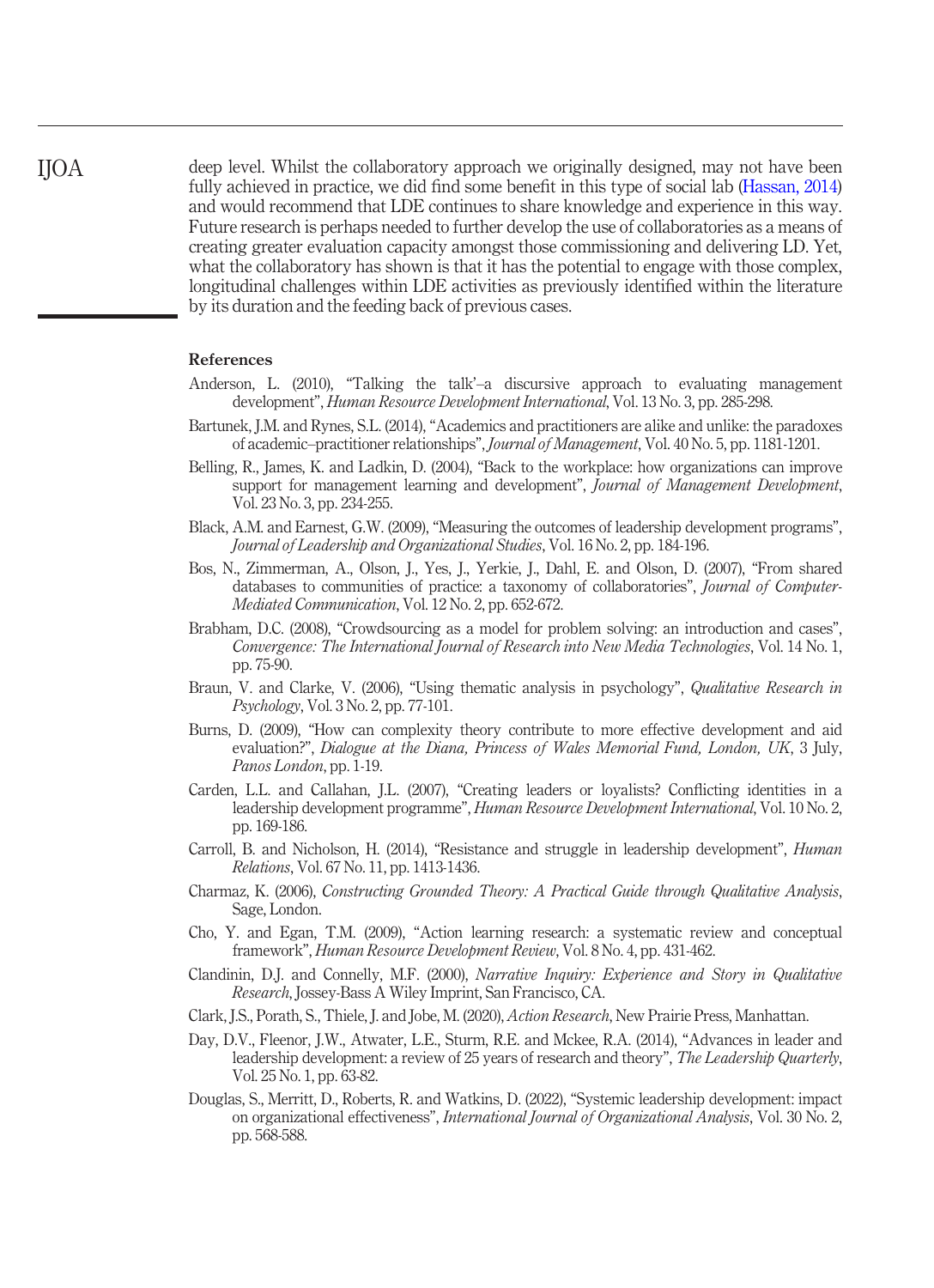deep level. Whilst the collaboratory approach we originally designed, may not have been fully achieved in practice, we did find some benefit in this type of social lab ([Hassan, 2014\)](#page-12-4) and would recommend that LDE continues to share knowledge and experience in this way. Future research is perhaps needed to further develop the use of collaboratories as a means of creating greater evaluation capacity amongst those commissioning and delivering LD. Yet, what the collaboratory has shown is that it has the potential to engage with those complex, longitudinal challenges within LDE activities as previously identified within the literature by its duration and the feeding back of previous cases.

## References

- <span id="page-11-6"></span>Anderson, L. (2010), "Talking the talk'–a discursive approach to evaluating management development", Human Resource Development International, Vol. 13 No. 3, pp. 285-298.
- <span id="page-11-15"></span>Bartunek, J.M. and Rynes, S.L. (2014), "Academics and practitioners are alike and unlike: the paradoxes of academic–practitioner relationships", Journal of Management, Vol. 40 No. 5, pp. 1181-1201.
- <span id="page-11-9"></span>Belling, R., James, K. and Ladkin, D. (2004), "Back to the workplace: how organizations can improve support for management learning and development", Journal of Management Development, Vol. 23 No. 3, pp. 234-255.
- <span id="page-11-10"></span>Black, A.M. and Earnest, G.W. (2009), "Measuring the outcomes of leadership development programs", Journal of Leadership and Organizational Studies, Vol. 16 No. 2, pp. 184-196.
- <span id="page-11-1"></span>Bos, N., Zimmerman, A., Olson, J., Yes, J., Yerkie, J., Dahl, E. and Olson, D. (2007), "From shared databases to communities of practice: a taxonomy of collaboratories", *Journal of Computer*-Mediated Communication, Vol. 12 No. 2, pp. 652-672.
- <span id="page-11-2"></span>Brabham, D.C. (2008), "Crowdsourcing as a model for problem solving: an introduction and cases", Convergence: The International Journal of Research into New Media Technologies, Vol. 14 No. 1, pp. 75-90.
- <span id="page-11-13"></span>Braun, V. and Clarke, V. (2006), "Using thematic analysis in psychology", Qualitative Research in Psychology, Vol. 3 No. 2, pp. 77-101.
- <span id="page-11-5"></span>Burns, D. (2009), "How can complexity theory contribute to more effective development and aid evaluation?", Dialogue at the Diana, Princess of Wales Memorial Fund, London, UK, 3 July, Panos London, pp. 1-19.
- <span id="page-11-7"></span>Carden, L.L. and Callahan, J.L. (2007), "Creating leaders or loyalists? Conflicting identities in a leadership development programme", *Human Resource Development International*, Vol. 10 No. 2, pp. 169-186.
- <span id="page-11-8"></span>Carroll, B. and Nicholson, H. (2014), "Resistance and struggle in leadership development", Human Relations, Vol. 67 No. 11, pp. 1413-1436.
- <span id="page-11-12"></span>Charmaz, K. (2006), Constructing Grounded Theory: A Practical Guide through Qualitative Analysis, Sage, London.
- <span id="page-11-14"></span>Cho, Y. and Egan, T.M. (2009), "Action learning research: a systematic review and conceptual framework", Human Resource Development Review, Vol. 8 No. 4, pp. 431-462.
- <span id="page-11-11"></span>Clandinin, D.J. and Connelly, M.F. (2000), Narrative Inquiry: Experience and Story in Qualitative Research, Jossey-Bass A Wiley Imprint, San Francisco, CA.
- <span id="page-11-3"></span>Clark, J.S., Porath, S., Thiele, J. and Jobe, M. (2020), Action Research, New Prairie Press, Manhattan.
- <span id="page-11-4"></span>Day, D.V., Fleenor, J.W., Atwater, L.E., Sturm, R.E. and Mckee, R.A. (2014), "Advances in leader and leadership development: a review of 25 years of research and theory", The Leadership Quarterly, Vol. 25 No. 1, pp. 63-82.
- <span id="page-11-0"></span>Douglas, S., Merritt, D., Roberts, R. and Watkins, D. (2022), "Systemic leadership development: impact on organizational effectiveness", International Journal of Organizational Analysis, Vol. 30 No. 2, pp. 568-588.

IJOA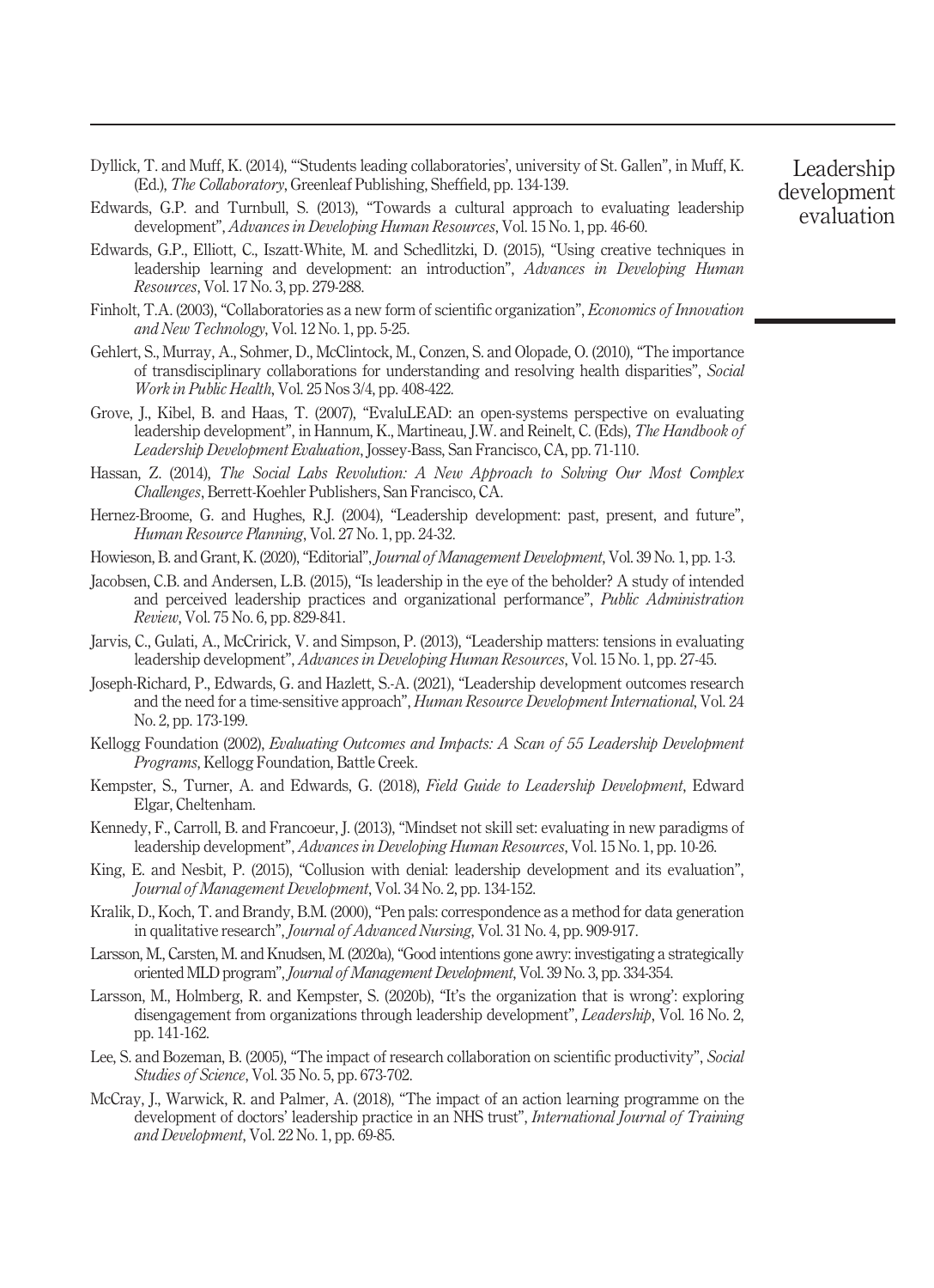- <span id="page-12-19"></span>Dyllick, T. and Muff, K. (2014), "'Students leading collaboratories', university of St. Gallen", in Muff, K. (Ed.), The Collaboratory, Greenleaf Publishing, Sheffield, pp. 134-139.
- <span id="page-12-12"></span>Edwards, G.P. and Turnbull, S. (2013), "Towards a cultural approach to evaluating leadership development", Advances in Developing Human Resources, Vol. 15 No. 1, pp. 46-60.
- <span id="page-12-11"></span>Edwards, G.P., Elliott, C., Iszatt-White, M. and Schedlitzki, D. (2015), "Using creative techniques in leadership learning and development: an introduction", Advances in Developing Human Resources, Vol. 17 No. 3, pp. 279-288.
- <span id="page-12-3"></span>Finholt, T.A. (2003), "Collaboratories as a new form of scientific organization", *Economics of Innovation* and New Technology, Vol. 12 No. 1, pp. 5-25.
- <span id="page-12-5"></span>Gehlert, S., Murray, A., Sohmer, D., McClintock, M., Conzen, S. and Olopade, O. (2010), "The importance of transdisciplinary collaborations for understanding and resolving health disparities", Social Work in Public Health, Vol. 25 Nos 3/4, pp. 408-422.
- <span id="page-12-15"></span>Grove, J., Kibel, B. and Haas, T. (2007), "EvaluLEAD: an open-systems perspective on evaluating leadership development", in Hannum, K., Martineau, J.W. and Reinelt, C. (Eds), The Handbook of Leadership Development Evaluation, Jossey-Bass, San Francisco, CA, pp. 71-110.
- <span id="page-12-4"></span>Hassan, Z. (2014), The Social Labs Revolution: A New Approach to Solving Our Most Complex Challenges, Berrett-Koehler Publishers, San Francisco, CA.
- <span id="page-12-2"></span>Hernez-Broome, G. and Hughes, R.J. (2004), "Leadership development: past, present, and future", Human Resource Planning, Vol. 27 No. 1, pp. 24-32.
- <span id="page-12-0"></span>Howieson, B. and Grant, K. (2020), "Editorial", *Journal of Management Development*, Vol. 39 No. 1, pp. 1-3.
- <span id="page-12-17"></span>Jacobsen, C.B. and Andersen, L.B. (2015), "Is leadership in the eye of the beholder? A study of intended and perceived leadership practices and organizational performance", Public Administration Review, Vol. 75 No. 6, pp. 829-841.
- <span id="page-12-7"></span>Jarvis, C., Gulati, A., McCririck, V. and Simpson, P. (2013), "Leadership matters: tensions in evaluating leadership development", Advances in Developing Human Resources, Vol. 15 No. 1, pp. 27-45.
- <span id="page-12-14"></span>Joseph-Richard, P., Edwards, G. and Hazlett, S.-A. (2021), "Leadership development outcomes research and the need for a time-sensitive approach", Human Resource Development International, Vol. 24 No. 2, pp. 173-199.
- <span id="page-12-16"></span>Kellogg Foundation (2002), Evaluating Outcomes and Impacts: A Scan of 55 Leadership Development Programs, Kellogg Foundation, Battle Creek.
- <span id="page-12-1"></span>Kempster, S., Turner, A. and Edwards, G. (2018), Field Guide to Leadership Development, Edward Elgar, Cheltenham.
- <span id="page-12-8"></span>Kennedy, F., Carroll, B. and Francoeur, J. (2013), "Mindset not skill set: evaluating in new paradigms of leadership development", Advances in Developing Human Resources, Vol. 15 No. 1, pp. 10-26.
- <span id="page-12-10"></span>King, E. and Nesbit, P. (2015), "Collusion with denial: leadership development and its evaluation", Journal of Management Development, Vol. 34 No. 2, pp. 134-152.
- <span id="page-12-18"></span>Kralik, D., Koch, T. and Brandy, B.M. (2000), "Pen pals: correspondence as a method for data generation in qualitative research", Journal of Advanced Nursing, Vol. 31 No. 4, pp. 909-917.
- <span id="page-12-9"></span>Larsson, M., Carsten, M. and Knudsen, M. (2020a),"Good intentions gone awry: investigating a strategically oriented MLD program", Journal of Management Development, Vol. 39 No. 3, pp. 334-354.
- <span id="page-12-20"></span>Larsson, M., Holmberg, R. and Kempster, S. (2020b), "It's the organization that is wrong': exploring disengagement from organizations through leadership development", Leadership, Vol. 16 No. 2, pp. 141-162.
- <span id="page-12-6"></span>Lee, S. and Bozeman, B. (2005), "The impact of research collaboration on scientific productivity", Social Studies of Science, Vol. 35 No. 5, pp. 673-702.
- <span id="page-12-13"></span>McCray, J., Warwick, R. and Palmer, A. (2018), "The impact of an action learning programme on the development of doctors' leadership practice in an NHS trust", *International Journal of Training* and Development, Vol. 22 No. 1, pp. 69-85.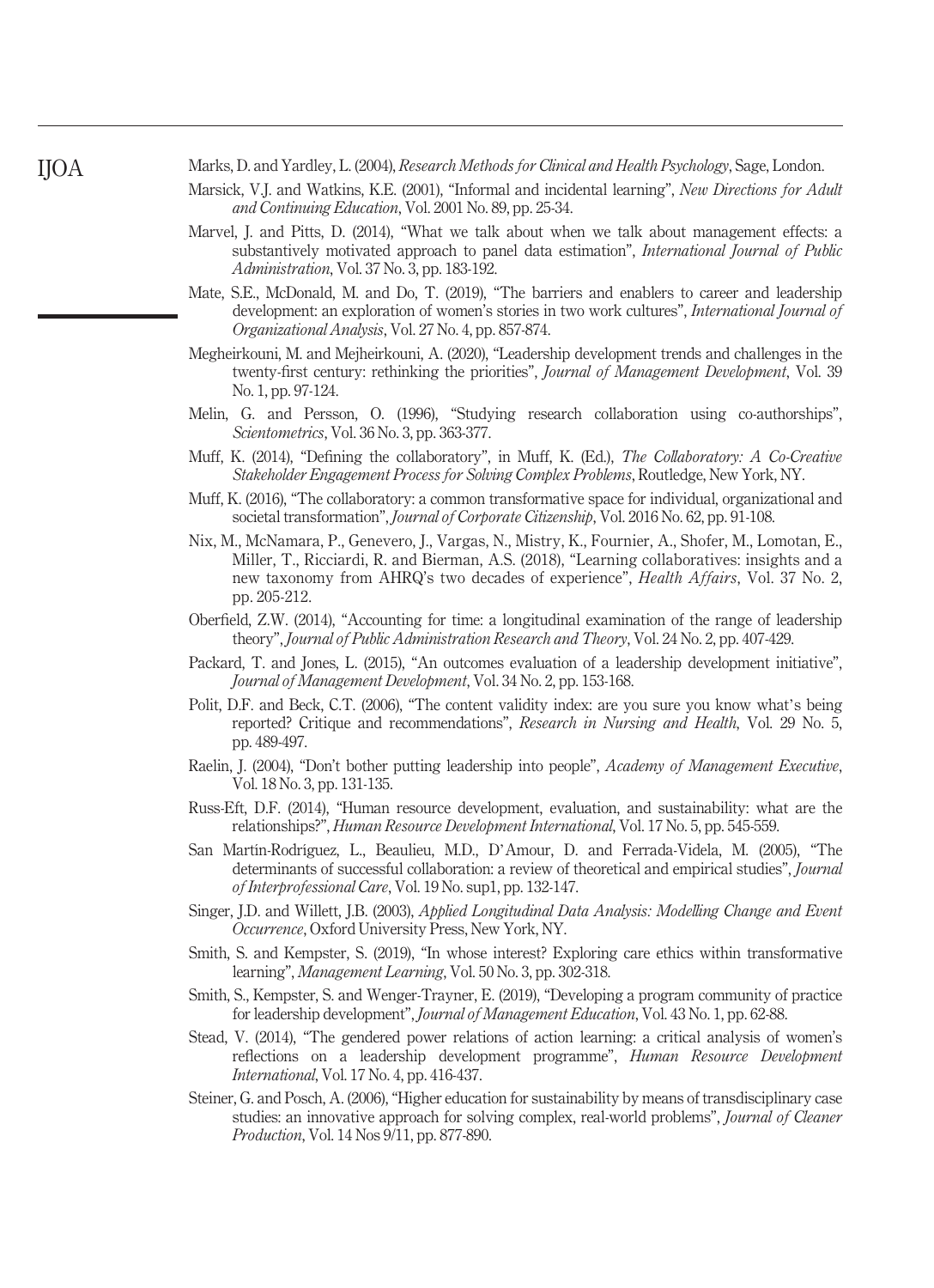<span id="page-13-19"></span>Marks, D. and Yardley, L. (2004), Research Methods for Clinical and Health Psychology, Sage, London.

- <span id="page-13-11"></span>Marsick, V.J. and Watkins, K.E. (2001), "Informal and incidental learning", New Directions for Adult and Continuing Education, Vol. 2001 No. 89, pp. 25-34.
- <span id="page-13-12"></span>Marvel, I. and Pitts, D. (2014), "What we talk about when we talk about management effects: a substantively motivated approach to panel data estimation", International Journal of Public Administration, Vol. 37 No. 3, pp. 183-192.
- <span id="page-13-8"></span>Mate, S.E., McDonald, M. and Do, T. (2019), "The barriers and enablers to career and leadership development: an exploration of women's stories in two work cultures", *International Journal of* Organizational Analysis, Vol. 27 No. 4, pp. 857-874.
- <span id="page-13-0"></span>Megheirkouni, M. and Mejheirkouni, A. (2020), "Leadership development trends and challenges in the twenty-first century: rethinking the priorities", *Journal of Management Development*, Vol. 39 No. 1, pp. 97-124.
- <span id="page-13-6"></span>Melin, G. and Persson, O. (1996), "Studying research collaboration using co-authorships", Scientometrics, Vol. 36 No. 3, pp. 363-377.
- <span id="page-13-1"></span>Muff, K. (2014), "Defining the collaboratory", in Muff, K. (Ed.), The Collaboratory: A Co-Creative Stakeholder Engagement Process for Solving Complex Problems, Routledge, New York, NY.
- <span id="page-13-5"></span>Muff, K. (2016), "The collaboratory: a common transformative space for individual, organizational and societal transformation", Journal of Corporate Citizenship, Vol. 2016 No. 62, pp. 91-108.
- <span id="page-13-3"></span>Nix, M., McNamara, P., Genevero, J., Vargas, N., Mistry, K., Fournier, A., Shofer, M., Lomotan, E., Miller, T., Ricciardi, R. and Bierman, A.S. (2018), "Learning collaboratives: insights and a new taxonomy from AHRQ's two decades of experience", Health Affairs, Vol. 37 No. 2, pp. 205-212.
- <span id="page-13-13"></span>Oberfield, Z.W. (2014), "Accounting for time: a longitudinal examination of the range of leadership theory", Journal of Public Administration Research and Theory, Vol. 24 No. 2, pp. 407-429.
- <span id="page-13-10"></span>Packard, T. and Jones, L. (2015), "An outcomes evaluation of a leadership development initiative", Journal of Management Development, Vol. 34 No. 2, pp. 153-168.
- <span id="page-13-18"></span>Polit, D.F. and Beck, C.T. (2006), "The content validity index: are you sure you know what's being reported? Critique and recommendations", Research in Nursing and Health, Vol. 29 No. 5, pp. 489-497.
- <span id="page-13-9"></span>Raelin, J. (2004), "Don't bother putting leadership into people", Academy of Management Executive, Vol. 18 No. 3, pp. 131-135.
- <span id="page-13-17"></span>Russ-Eft, D.F. (2014), "Human resource development, evaluation, and sustainability: what are the relationships?", Human Resource Development International, Vol. 17 No. 5, pp. 545-559.
- <span id="page-13-2"></span>San Martín-Rodríguez, L., Beaulieu, M.D., D'Amour, D. and Ferrada-Videla, M. (2005), "The determinants of successful collaboration: a review of theoretical and empirical studies", Journal of Interprofessional Care, Vol. 19 No. sup1, pp. 132-147.
- <span id="page-13-14"></span>Singer, J.D. and Willett, J.B. (2003), Applied Longitudinal Data Analysis: Modelling Change and Event Occurrence, Oxford University Press, New York, NY.
- <span id="page-13-16"></span>Smith, S. and Kempster, S. (2019), "In whose interest? Exploring care ethics within transformative learning", Management Learning, Vol. 50 No. 3, pp. 302-318.
- <span id="page-13-15"></span>Smith, S., Kempster, S. and Wenger-Trayner, E. (2019), "Developing a program community of practice for leadership development", Journal of Management Education, Vol. 43 No. 1, pp. 62-88.
- <span id="page-13-7"></span>Stead, V. (2014), "The gendered power relations of action learning: a critical analysis of women's reflections on a leadership development programme", *Human Resource Development* International, Vol. 17 No. 4, pp. 416-437.
- <span id="page-13-4"></span>Steiner, G. and Posch, A. (2006), "Higher education for sustainability by means of transdisciplinary case studies: an innovative approach for solving complex, real-world problems", *Journal of Cleaner* Production, Vol. 14 Nos 9/11, pp. 877-890.